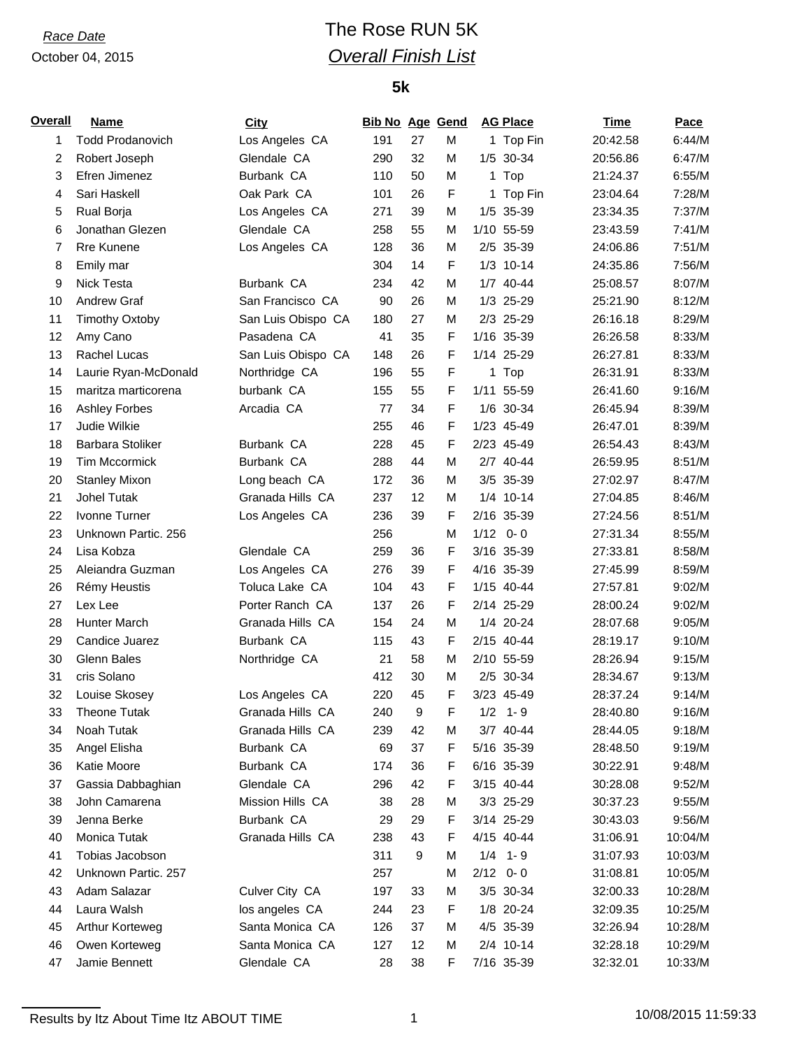# *Race Date* The Rose RUN 5K *Overall Finish List*

## **5k**

| Overall  | <b>Name</b>             | City               | <b>Bib No Age Gend</b> |    |   |      | <b>AG Place</b> | <b>Time</b> | Pace    |
|----------|-------------------------|--------------------|------------------------|----|---|------|-----------------|-------------|---------|
| 1        | <b>Todd Prodanovich</b> | Los Angeles CA     | 191                    | 27 | M |      | 1 Top Fin       | 20:42.58    | 6:44/M  |
| 2        | Robert Joseph           | Glendale CA        | 290                    | 32 | M |      | 1/5 30-34       | 20:56.86    | 6:47/M  |
| 3        | Efren Jimenez           | Burbank CA         | 110                    | 50 | M |      | 1 Top           | 21:24.37    | 6:55/M  |
| 4        | Sari Haskell            | Oak Park CA        | 101                    | 26 | F |      | 1 Top Fin       | 23:04.64    | 7:28/M  |
| 5        | Rual Borja              | Los Angeles CA     | 271                    | 39 | M |      | 1/5 35-39       | 23:34.35    | 7:37/M  |
| 6        | Jonathan Glezen         | Glendale CA        | 258                    | 55 | M |      | 1/10 55-59      | 23:43.59    | 7:41/M  |
| 7        | Rre Kunene              | Los Angeles CA     | 128                    | 36 | M |      | 2/5 35-39       | 24:06.86    | 7:51/M  |
| 8        | Emily mar               |                    | 304                    | 14 | F |      | $1/3$ 10-14     | 24:35.86    | 7:56/M  |
| 9        | Nick Testa              | Burbank CA         | 234                    | 42 | M |      | 1/7 40-44       | 25:08.57    | 8:07/M  |
| 10       | Andrew Graf             | San Francisco CA   | 90                     | 26 | M |      | 1/3 25-29       | 25:21.90    | 8:12/M  |
| 11       | <b>Timothy Oxtoby</b>   | San Luis Obispo CA | 180                    | 27 | M |      | 2/3 25-29       | 26:16.18    | 8:29/M  |
| 12       | Amy Cano                | Pasadena CA        | 41                     | 35 | F |      | 1/16 35-39      | 26:26.58    | 8:33/M  |
| 13       | Rachel Lucas            | San Luis Obispo CA | 148                    | 26 | F |      | 1/14 25-29      | 26:27.81    | 8:33/M  |
| 14       | Laurie Ryan-McDonald    | Northridge CA      | 196                    | 55 | F |      | 1 Top           | 26:31.91    | 8:33/M  |
| 15       | maritza marticorena     | burbank CA         | 155                    | 55 | F |      | 1/11 55-59      | 26:41.60    | 9:16/M  |
| 16       | <b>Ashley Forbes</b>    | Arcadia CA         | 77                     | 34 | F |      | 1/6 30-34       | 26:45.94    | 8:39/M  |
| 17       | Judie Wilkie            |                    | 255                    | 46 | F |      | 1/23 45-49      | 26:47.01    | 8:39/M  |
| 18       | <b>Barbara Stoliker</b> | Burbank CA         | 228                    | 45 | F |      | 2/23 45-49      | 26:54.43    | 8:43/M  |
| 19       | <b>Tim Mccormick</b>    | Burbank CA         | 288                    | 44 | M |      | 2/7 40-44       | 26:59.95    | 8:51/M  |
| 20       | <b>Stanley Mixon</b>    | Long beach CA      | 172                    | 36 | M |      | 3/5 35-39       | 27:02.97    | 8:47/M  |
| 21       | <b>Johel Tutak</b>      | Granada Hills CA   | 237                    | 12 | M |      | 1/4 10-14       | 27:04.85    | 8:46/M  |
| 22       | Ivonne Turner           | Los Angeles CA     | 236                    | 39 | F |      | 2/16 35-39      | 27:24.56    | 8:51/M  |
| 23       | Unknown Partic. 256     |                    | 256                    |    | M | 1/12 | $0 - 0$         | 27:31.34    | 8:55/M  |
| 24       | Lisa Kobza              | Glendale CA        | 259                    | 36 | F |      | 3/16 35-39      | 27:33.81    | 8:58/M  |
| 25       | Aleiandra Guzman        | Los Angeles CA     | 276                    | 39 | F |      | 4/16 35-39      | 27:45.99    | 8:59/M  |
|          |                         | Toluca Lake CA     | 104                    | 43 | F |      | 1/15 40-44      | 27:57.81    | 9:02/M  |
| 26<br>27 | Rémy Heustis<br>Lex Lee | Porter Ranch CA    |                        | 26 | F |      | 2/14 25-29      | 28:00.24    | 9:02/M  |
|          |                         |                    | 137                    |    |   |      |                 |             |         |
| 28       | Hunter March            | Granada Hills CA   | 154                    | 24 | M |      | 1/4 20-24       | 28:07.68    | 9:05/M  |
| 29       | Candice Juarez          | Burbank CA         | 115                    | 43 | F |      | 2/15 40-44      | 28:19.17    | 9:10/M  |
| 30       | <b>Glenn Bales</b>      | Northridge CA      | 21                     | 58 | M |      | 2/10 55-59      | 28:26.94    | 9:15/M  |
| 31       | cris Solano             |                    | 412                    | 30 | м |      | 2/5 30-34       | 28:34.67    | 9:13/M  |
| 32       | Louise Skosey           | Los Angeles CA     | 220                    | 45 | F |      | 3/23 45-49      | 28:37.24    | 9:14/M  |
| 33       | <b>Theone Tutak</b>     | Granada Hills CA   | 240                    | 9  | F |      | $1/2$ 1-9       | 28:40.80    | 9:16/M  |
| 34       | Noah Tutak              | Granada Hills CA   | 239                    | 42 | M |      | 3/7 40-44       | 28:44.05    | 9:18/M  |
| 35       | Angel Elisha            | Burbank CA         | 69                     | 37 | F |      | 5/16 35-39      | 28:48.50    | 9:19/M  |
| 36       | Katie Moore             | Burbank CA         | 174                    | 36 | F |      | 6/16 35-39      | 30:22.91    | 9:48/M  |
| 37       | Gassia Dabbaghian       | Glendale CA        | 296                    | 42 | F |      | 3/15 40-44      | 30:28.08    | 9:52/M  |
| 38       | John Camarena           | Mission Hills CA   | 38                     | 28 | M |      | 3/3 25-29       | 30:37.23    | 9:55/M  |
| 39       | Jenna Berke             | Burbank CA         | 29                     | 29 | F |      | 3/14 25-29      | 30:43.03    | 9:56/M  |
| 40       | Monica Tutak            | Granada Hills CA   | 238                    | 43 | F |      | 4/15 40-44      | 31:06.91    | 10:04/M |
| 41       | Tobias Jacobson         |                    | 311                    | 9  | M |      | $1/4$ 1-9       | 31:07.93    | 10:03/M |
| 42       | Unknown Partic. 257     |                    | 257                    |    | M | 2/12 | $0 - 0$         | 31:08.81    | 10:05/M |
| 43       | Adam Salazar            | Culver City CA     | 197                    | 33 | M |      | 3/5 30-34       | 32:00.33    | 10:28/M |
| 44       | Laura Walsh             | los angeles CA     | 244                    | 23 | F |      | 1/8 20-24       | 32:09.35    | 10:25/M |
| 45       | Arthur Korteweg         | Santa Monica CA    | 126                    | 37 | M |      | 4/5 35-39       | 32:26.94    | 10:28/M |
| 46       | Owen Korteweg           | Santa Monica CA    | 127                    | 12 | M |      | 2/4 10-14       | 32:28.18    | 10:29/M |
| 47       | Jamie Bennett           | Glendale CA        | 28                     | 38 | F |      | 7/16 35-39      | 32:32.01    | 10:33/M |

Results by Itz About Time Itz ABOUT TIME 1 1 1 1 1 1 1 10/08/2015 11:59:33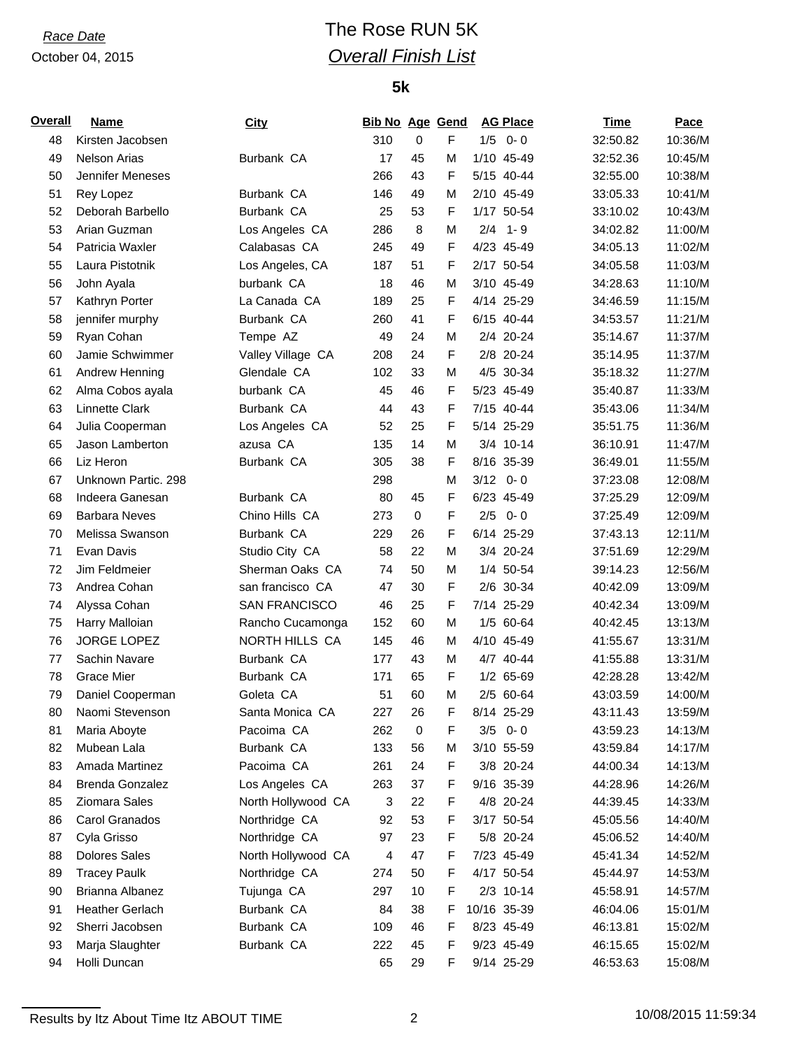# *Race Date* The Rose RUN 5K *Overall Finish List*

## **5k**

| <b>Overall</b> | Name                   | City               | <b>Bib No Age Gend</b> |             |             |     | <b>AG Place</b> | <b>Time</b> | Pace    |
|----------------|------------------------|--------------------|------------------------|-------------|-------------|-----|-----------------|-------------|---------|
| 48             | Kirsten Jacobsen       |                    | 310                    | 0           | F           |     | $1/5$ 0-0       | 32:50.82    | 10:36/M |
| 49             | <b>Nelson Arias</b>    | Burbank CA         | 17                     | 45          | M           |     | 1/10 45-49      | 32:52.36    | 10:45/M |
| 50             | Jennifer Meneses       |                    | 266                    | 43          | F           |     | 5/15 40-44      | 32:55.00    | 10:38/M |
| 51             | Rey Lopez              | Burbank CA         | 146                    | 49          | M           |     | 2/10 45-49      | 33:05.33    | 10:41/M |
| 52             | Deborah Barbello       | Burbank CA         | 25                     | 53          | F           |     | 1/17 50-54      | 33:10.02    | 10:43/M |
| 53             | Arian Guzman           | Los Angeles CA     | 286                    | 8           | M           | 2/4 | $1 - 9$         | 34:02.82    | 11:00/M |
| 54             | Patricia Waxler        | Calabasas CA       | 245                    | 49          | $\mathsf F$ |     | 4/23 45-49      | 34:05.13    | 11:02/M |
| 55             | Laura Pistotnik        | Los Angeles, CA    | 187                    | 51          | F           |     | 2/17 50-54      | 34:05.58    | 11:03/M |
| 56             | John Ayala             | burbank CA         | 18                     | 46          | M           |     | 3/10 45-49      | 34:28.63    | 11:10/M |
| 57             | Kathryn Porter         | La Canada CA       | 189                    | 25          | F           |     | 4/14 25-29      | 34:46.59    | 11:15/M |
| 58             | jennifer murphy        | Burbank CA         | 260                    | 41          | F           |     | 6/15 40-44      | 34:53.57    | 11:21/M |
| 59             | Ryan Cohan             | Tempe AZ           | 49                     | 24          | M           |     | 2/4 20-24       | 35:14.67    | 11:37/M |
| 60             | Jamie Schwimmer        | Valley Village CA  | 208                    | 24          | F           |     | 2/8 20-24       | 35:14.95    | 11:37/M |
| 61             | Andrew Henning         | Glendale CA        | 102                    | 33          | M           |     | 4/5 30-34       | 35:18.32    | 11:27/M |
| 62             | Alma Cobos ayala       | burbank CA         | 45                     | 46          | F           |     | 5/23 45-49      | 35:40.87    | 11:33/M |
| 63             | Linnette Clark         | Burbank CA         | 44                     | 43          | F           |     | 7/15 40-44      | 35:43.06    | 11:34/M |
| 64             | Julia Cooperman        | Los Angeles CA     | 52                     | 25          | F           |     | 5/14 25-29      | 35:51.75    | 11:36/M |
| 65             | Jason Lamberton        | azusa CA           | 135                    | 14          | M           |     | 3/4 10-14       | 36:10.91    | 11:47/M |
| 66             | Liz Heron              | Burbank CA         | 305                    | 38          | F           |     | 8/16 35-39      | 36:49.01    | 11:55/M |
| 67             | Unknown Partic. 298    |                    | 298                    |             | M           |     | $3/12$ 0-0      | 37:23.08    | 12:08/M |
| 68             | Indeera Ganesan        | Burbank CA         | 80                     | 45          | F           |     | 6/23 45-49      | 37:25.29    | 12:09/M |
| 69             | <b>Barbara Neves</b>   | Chino Hills CA     | 273                    | $\mathbf 0$ | F           | 2/5 | $0 - 0$         | 37:25.49    | 12:09/M |
| 70             | Melissa Swanson        | Burbank CA         | 229                    | 26          | F           |     | 6/14 25-29      | 37:43.13    | 12:11/M |
| 71             | Evan Davis             | Studio City CA     | 58                     | 22          | M           |     | 3/4 20-24       | 37:51.69    | 12:29/M |
| 72             | Jim Feldmeier          | Sherman Oaks CA    | 74                     | 50          | М           |     | 1/4 50-54       | 39:14.23    | 12:56/M |
| 73             | Andrea Cohan           | san francisco CA   | 47                     | 30          | F           |     | 2/6 30-34       | 40:42.09    | 13:09/M |
|                |                        | SAN FRANCISCO      |                        |             |             |     |                 |             |         |
| 74             | Alyssa Cohan           |                    | 46                     | 25          | F           |     | 7/14 25-29      | 40:42.34    | 13:09/M |
| 75             | Harry Malloian         | Rancho Cucamonga   | 152                    | 60          | M           |     | 1/5 60-64       | 40:42.45    | 13:13/M |
| 76             | JORGE LOPEZ            | NORTH HILLS CA     | 145                    | 46          | M           |     | 4/10 45-49      | 41:55.67    | 13:31/M |
| 77             | Sachin Navare          | Burbank CA         | 177                    | 43          | M           |     | 4/7 40-44       | 41:55.88    | 13:31/M |
| 78             | <b>Grace Mier</b>      | Burbank CA         | 171                    | 65          | F           |     | 1/2 65-69       | 42:28.28    | 13:42/M |
| 79             | Daniel Cooperman       | Goleta CA          | 51                     | 60          | M           |     | 2/5 60-64       | 43:03.59    | 14:00/M |
| 80             | Naomi Stevenson        | Santa Monica CA    | 227                    | 26          | F           |     | 8/14 25-29      | 43:11.43    | 13:59/M |
| 81             | Maria Aboyte           | Pacoima CA         | 262                    | 0           | F           |     | $3/5$ 0-0       | 43:59.23    | 14:13/M |
| 82             | Mubean Lala            | Burbank CA         | 133                    | 56          | M           |     | 3/10 55-59      | 43:59.84    | 14:17/M |
| 83             | Amada Martinez         | Pacoima CA         | 261                    | 24          | F           |     | 3/8 20-24       | 44:00.34    | 14:13/M |
| 84             | <b>Brenda Gonzalez</b> | Los Angeles CA     | 263                    | 37          | F           |     | 9/16 35-39      | 44:28.96    | 14:26/M |
| 85             | Ziomara Sales          | North Hollywood CA | 3                      | 22          | F           |     | 4/8 20-24       | 44:39.45    | 14:33/M |
| 86             | Carol Granados         | Northridge CA      | 92                     | 53          | F           |     | 3/17 50-54      | 45:05.56    | 14:40/M |
| 87             | Cyla Grisso            | Northridge CA      | 97                     | 23          | F           |     | 5/8 20-24       | 45:06.52    | 14:40/M |
| 88             | <b>Dolores Sales</b>   | North Hollywood CA | 4                      | 47          | F           |     | 7/23 45-49      | 45:41.34    | 14:52/M |
| 89             | <b>Tracey Paulk</b>    | Northridge CA      | 274                    | 50          | F           |     | 4/17 50-54      | 45:44.97    | 14:53/M |
| 90             | Brianna Albanez        | Tujunga CA         | 297                    | 10          | F           |     | $2/3$ 10-14     | 45:58.91    | 14:57/M |
| 91             | <b>Heather Gerlach</b> | Burbank CA         | 84                     | 38          | F           |     | 10/16 35-39     | 46:04.06    | 15:01/M |
| 92             | Sherri Jacobsen        | Burbank CA         | 109                    | 46          | F           |     | 8/23 45-49      | 46:13.81    | 15:02/M |
| 93             | Marja Slaughter        | Burbank CA         | 222                    | 45          | F           |     | 9/23 45-49      | 46:15.65    | 15:02/M |
| 94             | Holli Duncan           |                    | 65                     | 29          | F           |     | 9/14 25-29      | 46:53.63    | 15:08/M |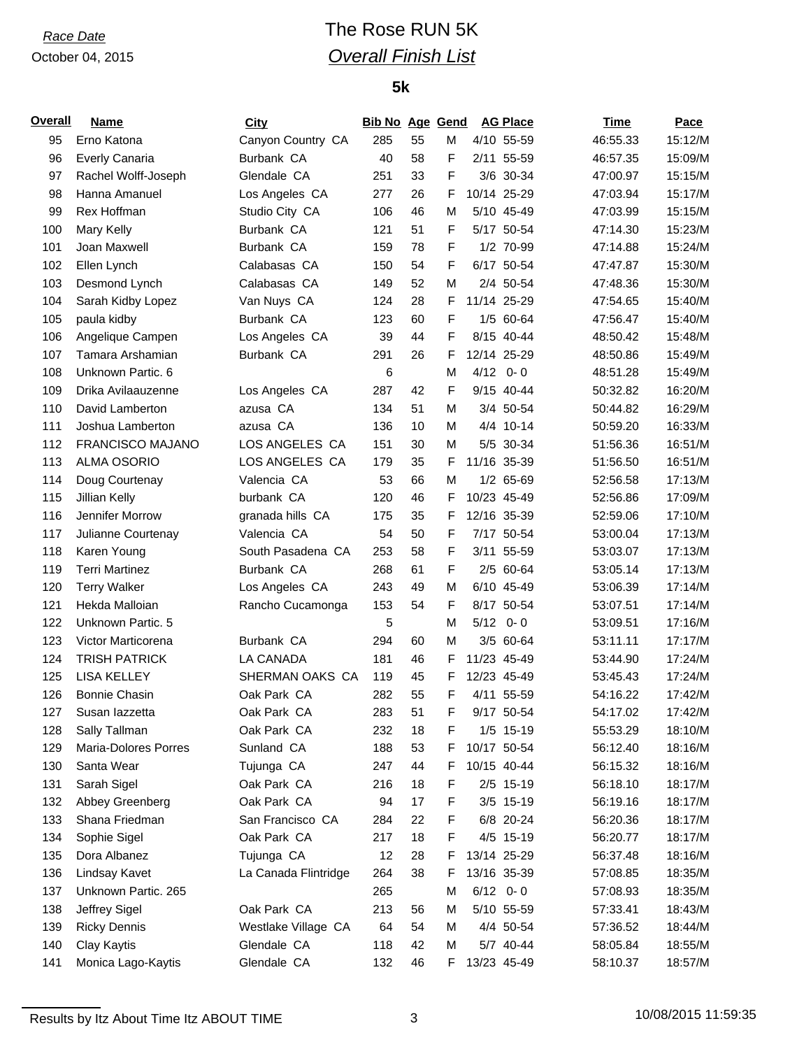# *Race Date* The Rose RUN 5K *Overall Finish List*

## **5k**

| <b>Overall</b> | <b>Name</b>             | City                 | <b>Bib No Age Gend</b> |    |        |      | <b>AG Place</b> | Time     | Pace    |
|----------------|-------------------------|----------------------|------------------------|----|--------|------|-----------------|----------|---------|
| 95             | Erno Katona             | Canyon Country CA    | 285                    | 55 | М      |      | 4/10 55-59      | 46:55.33 | 15:12/M |
| 96             | <b>Everly Canaria</b>   | Burbank CA           | 40                     | 58 | F      |      | 2/11 55-59      | 46:57.35 | 15:09/M |
| 97             | Rachel Wolff-Joseph     | Glendale CA          | 251                    | 33 | F      |      | 3/6 30-34       | 47:00.97 | 15:15/M |
| 98             | Hanna Amanuel           | Los Angeles CA       | 277                    | 26 | F      |      | 10/14 25-29     | 47:03.94 | 15:17/M |
| 99             | Rex Hoffman             | Studio City CA       | 106                    | 46 | M      |      | 5/10 45-49      | 47:03.99 | 15:15/M |
| 100            | Mary Kelly              | Burbank CA           | 121                    | 51 | F      |      | 5/17 50-54      | 47:14.30 | 15:23/M |
| 101            | Joan Maxwell            | Burbank CA           | 159                    | 78 | F      |      | 1/2 70-99       | 47:14.88 | 15:24/M |
| 102            | Ellen Lynch             | Calabasas CA         | 150                    | 54 | F      |      | 6/17 50-54      | 47:47.87 | 15:30/M |
| 103            | Desmond Lynch           | Calabasas CA         | 149                    | 52 | M      |      | 2/4 50-54       | 47:48.36 | 15:30/M |
| 104            | Sarah Kidby Lopez       | Van Nuys CA          | 124                    | 28 | F      |      | 11/14 25-29     | 47:54.65 | 15:40/M |
| 105            | paula kidby             | Burbank CA           | 123                    | 60 | F      |      | 1/5 60-64       | 47:56.47 | 15:40/M |
| 106            | Angelique Campen        | Los Angeles CA       | 39                     | 44 | F      |      | 8/15 40-44      | 48:50.42 | 15:48/M |
| 107            | Tamara Arshamian        | Burbank CA           | 291                    | 26 | F      |      | 12/14 25-29     | 48:50.86 | 15:49/M |
| 108            | Unknown Partic, 6       |                      | 6                      |    | M      | 4/12 | $0 - 0$         | 48:51.28 | 15:49/M |
| 109            | Drika Avilaauzenne      | Los Angeles CA       | 287                    | 42 | F      |      | 9/15 40-44      | 50:32.82 | 16:20/M |
| 110            | David Lamberton         | azusa CA             | 134                    | 51 | M      |      | 3/4 50-54       | 50:44.82 | 16:29/M |
| 111            | Joshua Lamberton        | azusa CA             | 136                    | 10 | М      |      | 4/4 10-14       | 50:59.20 | 16:33/M |
| 112            | <b>FRANCISCO MAJANO</b> | LOS ANGELES CA       | 151                    | 30 | М      |      | 5/5 30-34       | 51:56.36 | 16:51/M |
| 113            | <b>ALMA OSORIO</b>      | LOS ANGELES CA       | 179                    | 35 | F      |      | 11/16 35-39     | 51:56.50 | 16:51/M |
| 114            | Doug Courtenay          | Valencia CA          | 53                     | 66 | M      |      | 1/2 65-69       | 52:56.58 | 17:13/M |
| 115            | Jillian Kelly           | burbank CA           | 120                    | 46 | F      |      | 10/23 45-49     | 52:56.86 | 17:09/M |
| 116            | Jennifer Morrow         | granada hills CA     | 175                    | 35 | F      |      | 12/16 35-39     | 52:59.06 | 17:10/M |
| 117            | Julianne Courtenay      | Valencia CA          | 54                     | 50 | F      |      | 7/17 50-54      | 53:00.04 | 17:13/M |
| 118            | Karen Young             | South Pasadena CA    | 253                    | 58 | F      |      | 3/11 55-59      | 53:03.07 | 17:13/M |
| 119            | <b>Terri Martinez</b>   | Burbank CA           | 268                    | 61 | F      |      | 2/5 60-64       | 53:05.14 | 17:13/M |
| 120            | <b>Terry Walker</b>     | Los Angeles CA       | 243                    | 49 | М      |      | 6/10 45-49      | 53:06.39 | 17:14/M |
| 121            | Hekda Malloian          | Rancho Cucamonga     | 153                    | 54 | F      |      | 8/17 50-54      | 53:07.51 | 17:14/M |
| 122            | Unknown Partic. 5       |                      | 5                      |    | M      | 5/12 | $0 - 0$         | 53:09.51 | 17:16/M |
| 123            | Victor Marticorena      | Burbank CA           | 294                    | 60 | М      |      | 3/5 60-64       | 53:11.11 | 17:17/M |
| 124            | <b>TRISH PATRICK</b>    | LA CANADA            | 181                    | 46 | F.     |      | 11/23 45-49     |          | 17:24/M |
|                |                         | SHERMAN OAKS CA      |                        | 45 |        |      | 12/23 45-49     | 53:44.90 | 17:24/M |
| 125            | <b>LISA KELLEY</b>      |                      | 119                    |    | F<br>F |      | 4/11 55-59      | 53:45.43 |         |
| 126            | <b>Bonnie Chasin</b>    | Oak Park CA          | 282                    | 55 |        |      |                 | 54:16.22 | 17:42/M |
| 127            | Susan lazzetta          | Oak Park CA          | 283                    | 51 | F      |      | 9/17 50-54      | 54:17.02 | 17:42/M |
| 128            | Sally Tallman           | Oak Park CA          | 232                    | 18 | F      |      | 1/5 15-19       | 55:53.29 | 18:10/M |
| 129            | Maria-Dolores Porres    | Sunland CA           | 188                    | 53 | F      |      | 10/17 50-54     | 56:12.40 | 18:16/M |
| 130            | Santa Wear              | Tujunga CA           | 247                    | 44 | F.     |      | 10/15 40-44     | 56:15.32 | 18:16/M |
| 131            | Sarah Sigel             | Oak Park CA          | 216                    | 18 | F      |      | 2/5 15-19       | 56:18.10 | 18:17/M |
| 132            | Abbey Greenberg         | Oak Park CA          | 94                     | 17 | F      |      | 3/5 15-19       | 56:19.16 | 18:17/M |
| 133            | Shana Friedman          | San Francisco CA     | 284                    | 22 | F      |      | 6/8 20-24       | 56:20.36 | 18:17/M |
| 134            | Sophie Sigel            | Oak Park CA          | 217                    | 18 | F      |      | 4/5 15-19       | 56:20.77 | 18:17/M |
| 135            | Dora Albanez            | Tujunga CA           | 12                     | 28 | F      |      | 13/14 25-29     | 56:37.48 | 18:16/M |
| 136            | Lindsay Kavet           | La Canada Flintridge | 264                    | 38 | F      |      | 13/16 35-39     | 57:08.85 | 18:35/M |
| 137            | Unknown Partic. 265     |                      | 265                    |    | М      |      | $6/12$ 0-0      | 57:08.93 | 18:35/M |
| 138            | Jeffrey Sigel           | Oak Park CA          | 213                    | 56 | M      |      | 5/10 55-59      | 57:33.41 | 18:43/M |
| 139            | <b>Ricky Dennis</b>     | Westlake Village CA  | 64                     | 54 | M      |      | 4/4 50-54       | 57:36.52 | 18:44/M |
| 140            | Clay Kaytis             | Glendale CA          | 118                    | 42 | M      |      | 5/7 40-44       | 58:05.84 | 18:55/M |
| 141            | Monica Lago-Kaytis      | Glendale CA          | 132                    | 46 | F.     |      | 13/23 45-49     | 58:10.37 | 18:57/M |

Results by Itz About Time Itz ABOUT TIME 3 10/08/2015 11:59:35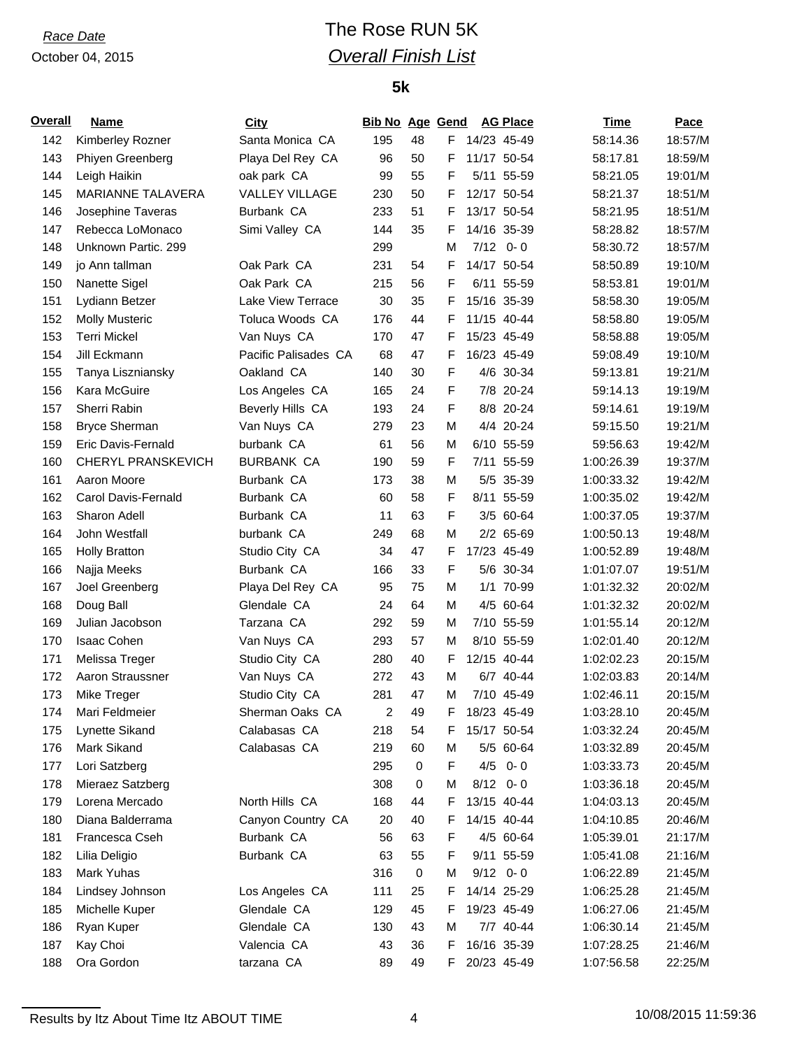# *Race Date* The Rose RUN 5K *Overall Finish List*

## **5k**

| <b>Overall</b> | <b>Name</b>               | <b>City</b>           | <b>Bib No Age Gend</b> |           |    |      | <b>AG Place</b> | <b>Time</b> | <b>Pace</b> |
|----------------|---------------------------|-----------------------|------------------------|-----------|----|------|-----------------|-------------|-------------|
| 142            | Kimberley Rozner          | Santa Monica CA       | 195                    | 48        |    |      | F 14/23 45-49   | 58:14.36    | 18:57/M     |
| 143            | Phiyen Greenberg          | Playa Del Rey CA      | 96                     | 50        | F  |      | 11/17 50-54     | 58:17.81    | 18:59/M     |
| 144            | Leigh Haikin              | oak park CA           | 99                     | 55        | F  |      | 5/11 55-59      | 58:21.05    | 19:01/M     |
| 145            | MARIANNE TALAVERA         | <b>VALLEY VILLAGE</b> | 230                    | 50        | F  |      | 12/17 50-54     | 58:21.37    | 18:51/M     |
| 146            | Josephine Taveras         | Burbank CA            | 233                    | 51        | F  |      | 13/17 50-54     | 58:21.95    | 18:51/M     |
| 147            | Rebecca LoMonaco          | Simi Valley CA        | 144                    | 35        | F  |      | 14/16 35-39     | 58:28.82    | 18:57/M     |
| 148            | Unknown Partic. 299       |                       | 299                    |           | M  | 7/12 | $0 - 0$         | 58:30.72    | 18:57/M     |
| 149            | jo Ann tallman            | Oak Park CA           | 231                    | 54        | F  |      | 14/17 50-54     | 58:50.89    | 19:10/M     |
| 150            | Nanette Sigel             | Oak Park CA           | 215                    | 56        | F  |      | 6/11 55-59      | 58:53.81    | 19:01/M     |
| 151            | Lydiann Betzer            | Lake View Terrace     | 30                     | 35        | F  |      | 15/16 35-39     | 58:58.30    | 19:05/M     |
| 152            | <b>Molly Musteric</b>     | Toluca Woods CA       | 176                    | 44        | F  |      | 11/15 40-44     | 58:58.80    | 19:05/M     |
| 153            | <b>Terri Mickel</b>       | Van Nuys CA           | 170                    | 47        | F  |      | 15/23 45-49     | 58:58.88    | 19:05/M     |
| 154            | Jill Eckmann              | Pacific Palisades CA  | 68                     | 47        | F  |      | 16/23 45-49     | 59:08.49    | 19:10/M     |
| 155            | Tanya Liszniansky         | Oakland CA            | 140                    | 30        | F  |      | 4/6 30-34       | 59:13.81    | 19:21/M     |
| 156            | Kara McGuire              | Los Angeles CA        | 165                    | 24        | F  |      | 7/8 20-24       | 59:14.13    | 19:19/M     |
| 157            | Sherri Rabin              | Beverly Hills CA      | 193                    | 24        | F  |      | 8/8 20-24       | 59:14.61    | 19:19/M     |
| 158            | <b>Bryce Sherman</b>      | Van Nuys CA           | 279                    | 23        | M  |      | 4/4 20-24       | 59:15.50    | 19:21/M     |
| 159            | Eric Davis-Fernald        | burbank CA            | 61                     | 56        | M  |      | 6/10 55-59      | 59:56.63    | 19:42/M     |
| 160            | <b>CHERYL PRANSKEVICH</b> | <b>BURBANK CA</b>     | 190                    | 59        | F  |      | 7/11 55-59      | 1:00:26.39  | 19:37/M     |
| 161            | Aaron Moore               | Burbank CA            | 173                    | 38        | M  |      | 5/5 35-39       | 1:00:33.32  | 19:42/M     |
| 162            | Carol Davis-Fernald       | Burbank CA            | 60                     | 58        | F  |      | 8/11 55-59      | 1:00:35.02  | 19:42/M     |
| 163            | Sharon Adell              | Burbank CA            | 11                     | 63        | F  |      | 3/5 60-64       | 1:00:37.05  | 19:37/M     |
| 164            | John Westfall             | burbank CA            | 249                    | 68        | м  |      | 2/2 65-69       | 1:00:50.13  | 19:48/M     |
| 165            | <b>Holly Bratton</b>      | Studio City CA        | 34                     | 47        | F  |      | 17/23 45-49     | 1:00:52.89  | 19:48/M     |
| 166            | Najja Meeks               | Burbank CA            | 166                    | 33        | F  |      | 5/6 30-34       | 1:01:07.07  | 19:51/M     |
| 167            | Joel Greenberg            | Playa Del Rey CA      | 95                     | 75        | M  |      | 1/1 70-99       | 1:01:32.32  | 20:02/M     |
| 168            | Doug Ball                 | Glendale CA           | 24                     | 64        | M  |      | 4/5 60-64       | 1:01:32.32  | 20:02/M     |
| 169            | Julian Jacobson           | Tarzana CA            | 292                    | 59        | M  |      | 7/10 55-59      | 1:01:55.14  | 20:12/M     |
| 170            | <b>Isaac Cohen</b>        | Van Nuys CA           | 293                    | 57        | M  |      | 8/10 55-59      | 1:02:01.40  | 20:12/M     |
| 171            | Melissa Treger            | Studio City CA        | 280                    | 40        | F  |      | 12/15 40-44     | 1:02:02.23  | 20:15/M     |
| 172            | Aaron Straussner          | Van Nuys CA           | 272                    | 43        | M  |      | 6/7 40-44       | 1:02:03.83  | 20:14/M     |
| 173            | Mike Treger               | Studio City CA        | 281                    | 47        | M  |      | 7/10 45-49      | 1:02:46.11  | 20:15/M     |
| 174            | Mari Feldmeier            | Sherman Oaks CA       | 2                      | 49        | F  |      | 18/23 45-49     | 1:03:28.10  | 20:45/M     |
| 175            | Lynette Sikand            | Calabasas CA          | 218                    | 54        | F. |      | 15/17 50-54     | 1:03:32.24  | 20:45/M     |
| 176            | Mark Sikand               | Calabasas CA          | 219                    | 60        | M  |      | 5/5 60-64       | 1:03:32.89  | 20:45/M     |
| 177            | Lori Satzberg             |                       | 295                    | 0         | F  | 4/5  | $0 - 0$         | 1:03:33.73  | 20:45/M     |
| 178            | Mieraez Satzberg          |                       | 308                    | 0         | M  |      | $8/12$ 0-0      | 1:03:36.18  | 20:45/M     |
| 179            | Lorena Mercado            | North Hills CA        | 168                    | 44        | F  |      | 13/15 40-44     | 1:04:03.13  | 20:45/M     |
| 180            | Diana Balderrama          | Canyon Country CA     | 20                     | 40        | F  |      | 14/15 40-44     | 1:04:10.85  | 20:46/M     |
| 181            | Francesca Cseh            | Burbank CA            | 56                     | 63        | F  |      | 4/5 60-64       | 1:05:39.01  | 21:17/M     |
| 182            | Lilia Deligio             | Burbank CA            | 63                     | 55        | F  |      | 9/11 55-59      | 1:05:41.08  | 21:16/M     |
| 183            | Mark Yuhas                |                       | 316                    | $\pmb{0}$ | M  |      | $9/12$ 0-0      | 1:06:22.89  | 21:45/M     |
| 184            | Lindsey Johnson           | Los Angeles CA        | 111                    | 25        | F. |      | 14/14 25-29     | 1:06:25.28  | 21:45/M     |
| 185            | Michelle Kuper            | Glendale CA           | 129                    | 45        | F  |      | 19/23 45-49     | 1:06:27.06  | 21:45/M     |
| 186            | Ryan Kuper                | Glendale CA           | 130                    | 43        | M  |      | 7/7 40-44       | 1:06:30.14  | 21:45/M     |
| 187            | Kay Choi                  | Valencia CA           | 43                     | 36        | F  |      | 16/16 35-39     | 1:07:28.25  | 21:46/M     |
| 188            | Ora Gordon                | tarzana CA            | 89                     | 49        | F  |      | 20/23 45-49     | 1:07:56.58  | 22:25/M     |

Results by Itz About Time Itz ABOUT TIME 4 10/08/2015 11:59:36